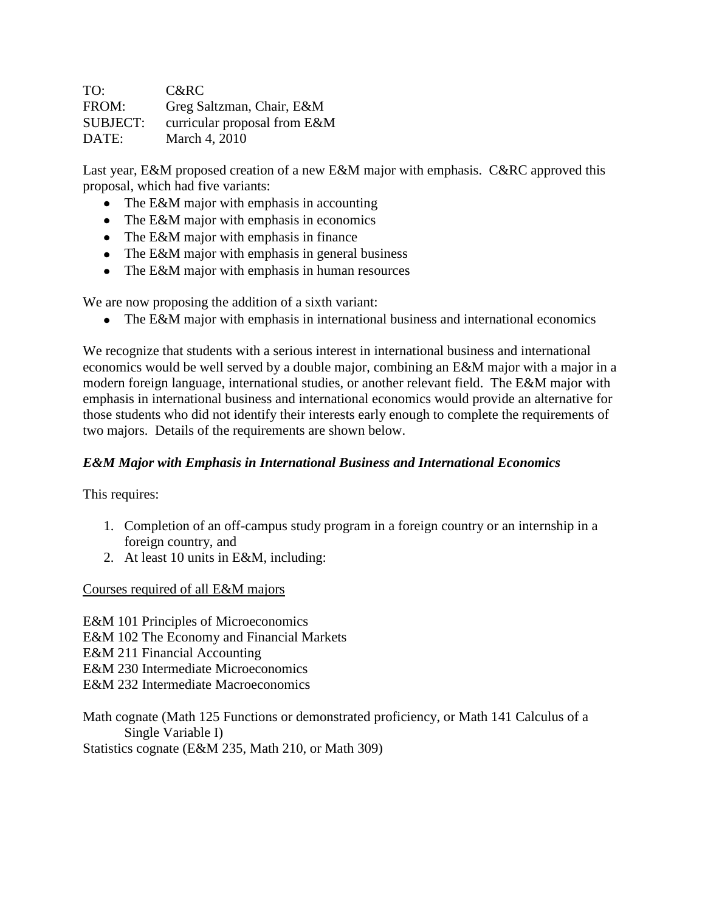TO: C&RC FROM: Greg Saltzman, Chair, E&M SUBJECT: curricular proposal from E&M DATE: March 4, 2010

Last year, E&M proposed creation of a new E&M major with emphasis. C&RC approved this proposal, which had five variants:

- The E&M major with emphasis in accounting
- The E&M major with emphasis in economics
- The E&M major with emphasis in finance
- The E&M major with emphasis in general business
- The E&M major with emphasis in human resources

We are now proposing the addition of a sixth variant:

• The E&M major with emphasis in international business and international economics

We recognize that students with a serious interest in international business and international economics would be well served by a double major, combining an E&M major with a major in a modern foreign language, international studies, or another relevant field. The E&M major with emphasis in international business and international economics would provide an alternative for those students who did not identify their interests early enough to complete the requirements of two majors. Details of the requirements are shown below.

# *E&M Major with Emphasis in International Business and International Economics*

This requires:

- 1. Completion of an off-campus study program in a foreign country or an internship in a foreign country, and
- 2. At least 10 units in E&M, including:

Courses required of all E&M majors

E&M 101 Principles of Microeconomics E&M 102 The Economy and Financial Markets E&M 211 Financial Accounting E&M 230 Intermediate Microeconomics E&M 232 Intermediate Macroeconomics

Math cognate (Math 125 Functions or demonstrated proficiency, or Math 141 Calculus of a Single Variable I)

Statistics cognate (E&M 235, Math 210, or Math 309)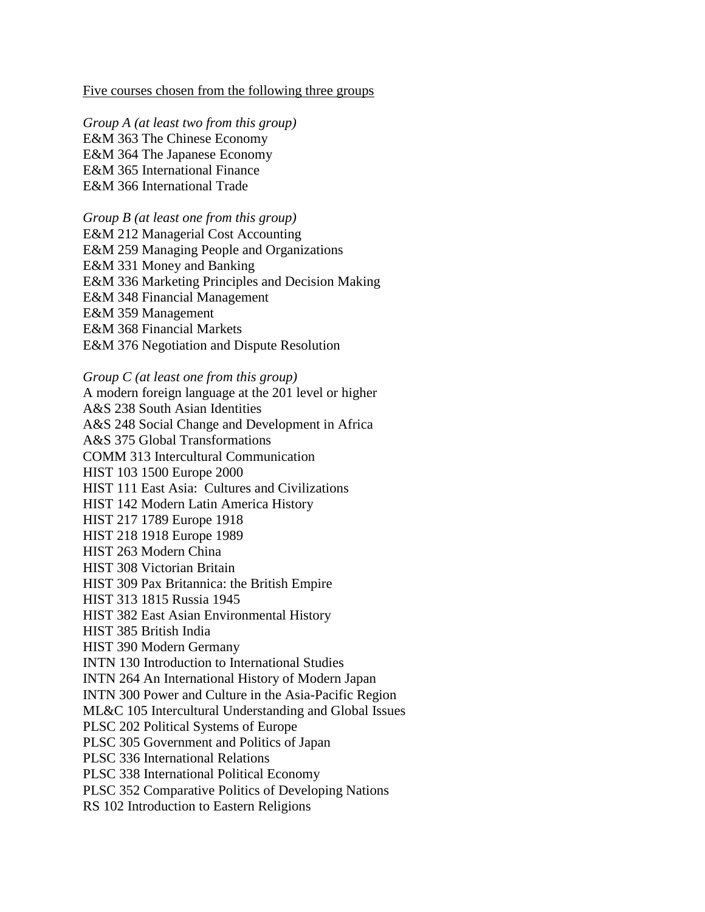#### Five courses chosen from the following three groups

*Group A (at least two from this group)* E&M 363 The Chinese Economy E&M 364 The Japanese Economy E&M 365 International Finance E&M 366 International Trade

#### *Group B (at least one from this group)*

E&M 212 Managerial Cost Accounting E&M 259 Managing People and Organizations E&M 331 Money and Banking E&M 336 Marketing Principles and Decision Making E&M 348 Financial Management E&M 359 Management E&M 368 Financial Markets E&M 376 Negotiation and Dispute Resolution

#### *Group C (at least one from this group)*

A modern foreign language at the 201 level or higher A&S 238 South Asian Identities A&S 248 Social Change and Development in Africa A&S 375 Global Transformations COMM 313 Intercultural Communication HIST 103 1500 Europe 2000 HIST 111 East Asia: Cultures and Civilizations HIST 142 Modern Latin America History HIST 217 1789 Europe 1918 HIST 218 1918 Europe 1989 HIST 263 Modern China HIST 308 Victorian Britain HIST 309 Pax Britannica: the British Empire HIST 313 1815 Russia 1945 HIST 382 East Asian Environmental History HIST 385 British India HIST 390 Modern Germany INTN 130 Introduction to International Studies INTN 264 An International History of Modern Japan INTN 300 Power and Culture in the Asia-Pacific Region ML&C 105 Intercultural Understanding and Global Issues PLSC 202 Political Systems of Europe PLSC 305 Government and Politics of Japan PLSC 336 International Relations PLSC 338 International Political Economy PLSC 352 Comparative Politics of Developing Nations RS 102 Introduction to Eastern Religions